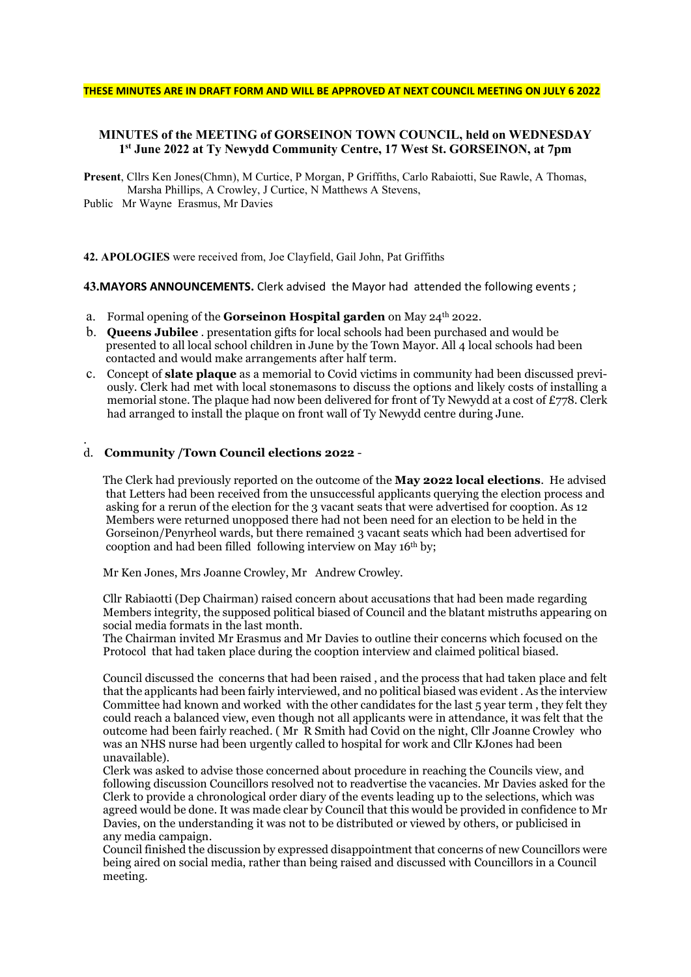#### THESE MINUTES ARE IN DRAFT FORM AND WILL BE APPROVED AT NEXT COUNCIL MEETING ON JULY 6 2022

## MINUTES of the MEETING of GORSEINON TOWN COUNCIL, held on WEDNESDAY 1 st June 2022 at Ty Newydd Community Centre, 17 West St. GORSEINON, at 7pm

Present, Cllrs Ken Jones(Chmn), M Curtice, P Morgan, P Griffiths, Carlo Rabaiotti, Sue Rawle, A Thomas, Marsha Phillips, A Crowley, J Curtice, N Matthews A Stevens,

Public Mr Wayne Erasmus, Mr Davies

42. APOLOGIES were received from, Joe Clayfield, Gail John, Pat Griffiths

43.MAYORS ANNOUNCEMENTS. Clerk advised the Mayor had attended the following events ;

- a. Formal opening of the **Gorseinon Hospital garden** on May  $24^{th}$  2022.
- b. Queens Jubilee . presentation gifts for local schools had been purchased and would be presented to all local school children in June by the Town Mayor. All 4 local schools had been contacted and would make arrangements after half term.
- c. Concept of slate plaque as a memorial to Covid victims in community had been discussed previously. Clerk had met with local stonemasons to discuss the options and likely costs of installing a memorial stone. The plaque had now been delivered for front of Ty Newydd at a cost of £778. Clerk had arranged to install the plaque on front wall of Ty Newydd centre during June.

#### d. Community /Town Council elections 2022 -

.

The Clerk had previously reported on the outcome of the **May 2022 local elections**. He advised that Letters had been received from the unsuccessful applicants querying the election process and asking for a rerun of the election for the 3 vacant seats that were advertised for cooption. As 12 Members were returned unopposed there had not been need for an election to be held in the Gorseinon/Penyrheol wards, but there remained 3 vacant seats which had been advertised for cooption and had been filled following interview on May 16th by;

Mr Ken Jones, Mrs Joanne Crowley, Mr Andrew Crowley.

 Cllr Rabiaotti (Dep Chairman) raised concern about accusations that had been made regarding Members integrity, the supposed political biased of Council and the blatant mistruths appearing on social media formats in the last month.

 The Chairman invited Mr Erasmus and Mr Davies to outline their concerns which focused on the Protocol that had taken place during the cooption interview and claimed political biased.

 Council discussed the concerns that had been raised , and the process that had taken place and felt that the applicants had been fairly interviewed, and no political biased was evident . As the interview Committee had known and worked with the other candidates for the last 5 year term , they felt they could reach a balanced view, even though not all applicants were in attendance, it was felt that the outcome had been fairly reached. ( Mr R Smith had Covid on the night, Cllr Joanne Crowley who was an NHS nurse had been urgently called to hospital for work and Cllr KJones had been unavailable).

 Clerk was asked to advise those concerned about procedure in reaching the Councils view, and following discussion Councillors resolved not to readvertise the vacancies. Mr Davies asked for the Clerk to provide a chronological order diary of the events leading up to the selections, which was agreed would be done. It was made clear by Council that this would be provided in confidence to Mr Davies, on the understanding it was not to be distributed or viewed by others, or publicised in any media campaign.

 Council finished the discussion by expressed disappointment that concerns of new Councillors were being aired on social media, rather than being raised and discussed with Councillors in a Council meeting.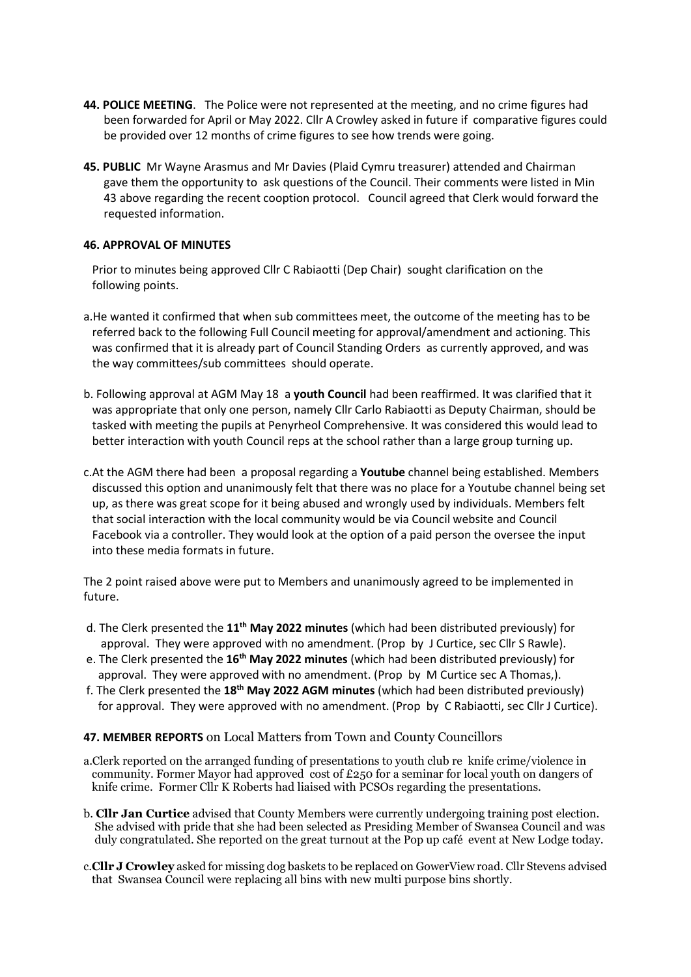- 44. POLICE MEETING. The Police were not represented at the meeting, and no crime figures had been forwarded for April or May 2022. Cllr A Crowley asked in future if comparative figures could be provided over 12 months of crime figures to see how trends were going.
- 45. PUBLIC Mr Wayne Arasmus and Mr Davies (Plaid Cymru treasurer) attended and Chairman gave them the opportunity to ask questions of the Council. Their comments were listed in Min 43 above regarding the recent cooption protocol. Council agreed that Clerk would forward the requested information.

## 46. APPROVAL OF MINUTES

 Prior to minutes being approved Cllr C Rabiaotti (Dep Chair) sought clarification on the following points.

- a.He wanted it confirmed that when sub committees meet, the outcome of the meeting has to be referred back to the following Full Council meeting for approval/amendment and actioning. This was confirmed that it is already part of Council Standing Orders as currently approved, and was the way committees/sub committees should operate.
- b. Following approval at AGM May 18 a youth Council had been reaffirmed. It was clarified that it was appropriate that only one person, namely Cllr Carlo Rabiaotti as Deputy Chairman, should be tasked with meeting the pupils at Penyrheol Comprehensive. It was considered this would lead to better interaction with youth Council reps at the school rather than a large group turning up.
- c.At the AGM there had been a proposal regarding a Youtube channel being established. Members discussed this option and unanimously felt that there was no place for a Youtube channel being set up, as there was great scope for it being abused and wrongly used by individuals. Members felt that social interaction with the local community would be via Council website and Council Facebook via a controller. They would look at the option of a paid person the oversee the input into these media formats in future.

The 2 point raised above were put to Members and unanimously agreed to be implemented in future.

- d. The Clerk presented the 11<sup>th</sup> May 2022 minutes (which had been distributed previously) for approval. They were approved with no amendment. (Prop by J Curtice, sec Cllr S Rawle).
- e. The Clerk presented the 16<sup>th</sup> May 2022 minutes (which had been distributed previously) for approval. They were approved with no amendment. (Prop by M Curtice sec A Thomas,).
- f. The Clerk presented the  $18<sup>th</sup>$  May 2022 AGM minutes (which had been distributed previously) for approval. They were approved with no amendment. (Prop by C Rabiaotti, sec Cllr J Curtice).

## 47. MEMBER REPORTS on Local Matters from Town and County Councillors

- a.Clerk reported on the arranged funding of presentations to youth club re knife crime/violence in community. Former Mayor had approved cost of  $E250$  for a seminar for local youth on dangers of knife crime. Former Cllr K Roberts had liaised with PCSOs regarding the presentations.
- b. Cllr Jan Curtice advised that County Members were currently undergoing training post election. She advised with pride that she had been selected as Presiding Member of Swansea Council and was duly congratulated. She reported on the great turnout at the Pop up café event at New Lodge today.
- c.Cllr J Crowley asked for missing dog baskets to be replaced on GowerView road. Cllr Stevens advised that Swansea Council were replacing all bins with new multi purpose bins shortly.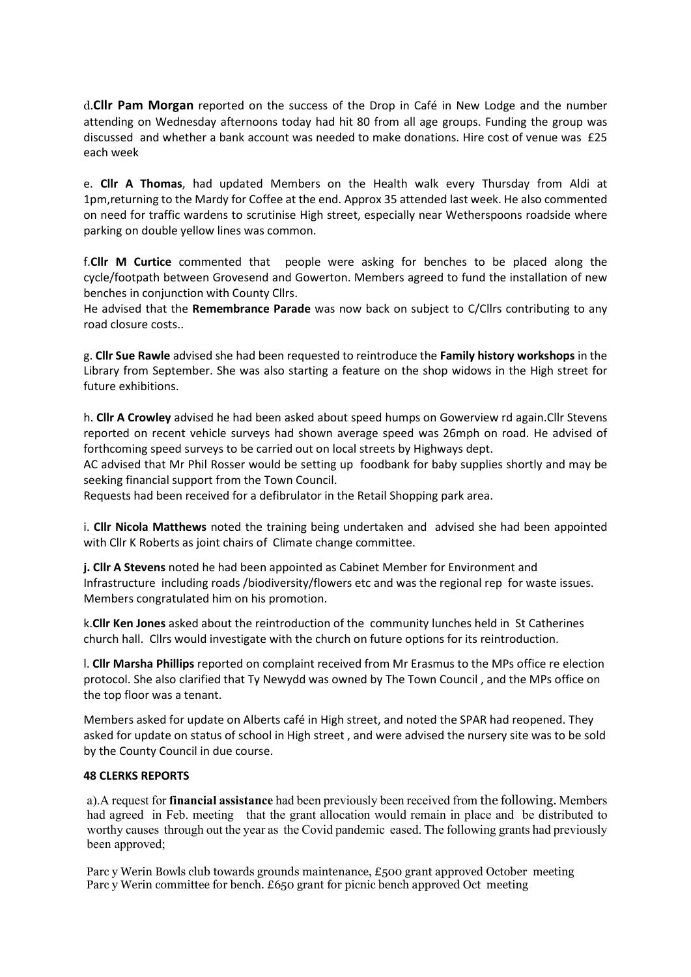d.Cllr Pam Morgan reported on the success of the Drop in Café in New Lodge and the number attending on Wednesday afternoons today had hit 80 from all age groups. Funding the group was discussed and whether a bank account was needed to make donations. Hire cost of venue was £25 each week

e. Cllr A Thomas, had updated Members on the Health walk every Thursday from Aldi at 1pm,returning to the Mardy for Coffee at the end. Approx 35 attended last week. He also commented on need for traffic wardens to scrutinise High street, especially near Wetherspoons roadside where parking on double yellow lines was common.

f.Cllr M Curtice commented that people were asking for benches to be placed along the cycle/footpath between Grovesend and Gowerton. Members agreed to fund the installation of new benches in conjunction with County Cllrs.

He advised that the Remembrance Parade was now back on subject to C/Cllrs contributing to any road closure costs..

g. Cllr Sue Rawle advised she had been requested to reintroduce the Family history workshops in the Library from September. She was also starting a feature on the shop widows in the High street for future exhibitions.

h. Cllr A Crowley advised he had been asked about speed humps on Gowerview rd again.Cllr Stevens reported on recent vehicle surveys had shown average speed was 26mph on road. He advised of forthcoming speed surveys to be carried out on local streets by Highways dept.

AC advised that Mr Phil Rosser would be setting up foodbank for baby supplies shortly and may be seeking financial support from the Town Council.

Requests had been received for a defibrulator in the Retail Shopping park area.

i. Cllr Nicola Matthews noted the training being undertaken and advised she had been appointed with Cllr K Roberts as joint chairs of Climate change committee.

j. Cllr A Stevens noted he had been appointed as Cabinet Member for Environment and Infrastructure including roads /biodiversity/flowers etc and was the regional rep for waste issues. Members congratulated him on his promotion.

k.Cllr Ken Jones asked about the reintroduction of the community lunches held in St Catherines church hall. Cllrs would investigate with the church on future options for its reintroduction.

l. Cllr Marsha Phillips reported on complaint received from Mr Erasmus to the MPs office re election protocol. She also clarified that Ty Newydd was owned by The Town Council , and the MPs office on the top floor was a tenant.

Members asked for update on Alberts café in High street, and noted the SPAR had reopened. They asked for update on status of school in High street , and were advised the nursery site was to be sold by the County Council in due course.

## 48 CLERKS REPORTS

a).A request for financial assistance had been previously been received from the following. Members had agreed in Feb. meeting that the grant allocation would remain in place and be distributed to worthy causes through out the year as the Covid pandemic eased. The following grants had previously been approved;

 Parc y Werin Bowls club towards grounds maintenance, £500 grant approved October meeting Parc y Werin committee for bench. £650 grant for picnic bench approved Oct meeting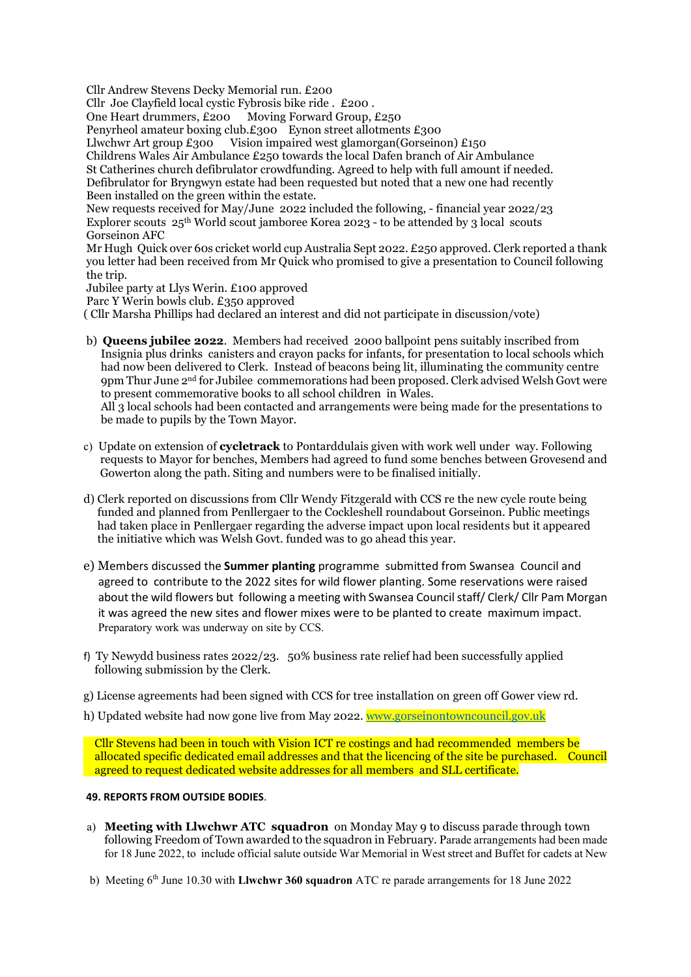Cllr Andrew Stevens Decky Memorial run. £200

Cllr Joe Clayfield local cystic Fybrosis bike ride . £200 .

One Heart drummers, £200 Moving Forward Group, £250

Penyrheol amateur boxing club.£300 Eynon street allotments £300

Llwchwr Art group £300 Vision impaired west glamorgan(Gorseinon) £150

Childrens Wales Air Ambulance £250 towards the local Dafen branch of Air Ambulance

 St Catherines church defibrulator crowdfunding. Agreed to help with full amount if needed. Defibrulator for Bryngwyn estate had been requested but noted that a new one had recently Been installed on the green within the estate.

 New requests received for May/June 2022 included the following, - financial year 2022/23 Explorer scouts 25th World scout jamboree Korea 2023 - to be attended by 3 local scouts Gorseinon AFC

 Mr Hugh Quick over 60s cricket world cup Australia Sept 2022. £250 approved. Clerk reported a thank you letter had been received from Mr Quick who promised to give a presentation to Council following the trip.

Jubilee party at Llys Werin. £100 approved

Parc Y Werin bowls club. £350 approved

( Cllr Marsha Phillips had declared an interest and did not participate in discussion/vote)

 b) Queens jubilee 2022. Members had received 2000 ballpoint pens suitably inscribed from Insignia plus drinks canisters and crayon packs for infants, for presentation to local schools which had now been delivered to Clerk. Instead of beacons being lit, illuminating the community centre 9pm Thur June 2nd for Jubilee commemorations had been proposed. Clerk advised Welsh Govt were to present commemorative books to all school children in Wales.

 All 3 local schools had been contacted and arrangements were being made for the presentations to be made to pupils by the Town Mayor.

- c) Update on extension of cycletrack to Pontarddulais given with work well under way. Following requests to Mayor for benches, Members had agreed to fund some benches between Grovesend and Gowerton along the path. Siting and numbers were to be finalised initially.
- d) Clerk reported on discussions from Cllr Wendy Fitzgerald with CCS re the new cycle route being funded and planned from Penllergaer to the Cockleshell roundabout Gorseinon. Public meetings had taken place in Penllergaer regarding the adverse impact upon local residents but it appeared the initiative which was Welsh Govt. funded was to go ahead this year.
- e) Members discussed the Summer planting programme submitted from Swansea Council and agreed to contribute to the 2022 sites for wild flower planting. Some reservations were raised about the wild flowers but following a meeting with Swansea Council staff/ Clerk/ Cllr Pam Morgan it was agreed the new sites and flower mixes were to be planted to create maximum impact. Preparatory work was underway on site by CCS.
- f) Ty Newydd business rates  $2022/23$ . 50% business rate relief had been successfully applied following submission by the Clerk.
- g) License agreements had been signed with CCS for tree installation on green off Gower view rd.
- h) Updated website had now gone live from May 2022. www.gorseinontowncouncil.gov.uk

 Cllr Stevens had been in touch with Vision ICT re costings and had recommended members be allocated specific dedicated email addresses and that the licencing of the site be purchased. Council agreed to request dedicated website addresses for all members and SLL certificate.

## 49. REPORTS FROM OUTSIDE BODIES.

- a) Meeting with Llwchwr ATC squadron on Monday May 9 to discuss parade through town following Freedom of Town awarded to the squadron in February. Parade arrangements had been made for 18 June 2022, to include official salute outside War Memorial in West street and Buffet for cadets at New
- b) Meeting  $6<sup>th</sup>$  June 10.30 with Llwchwr 360 squadron ATC re parade arrangements for 18 June 2022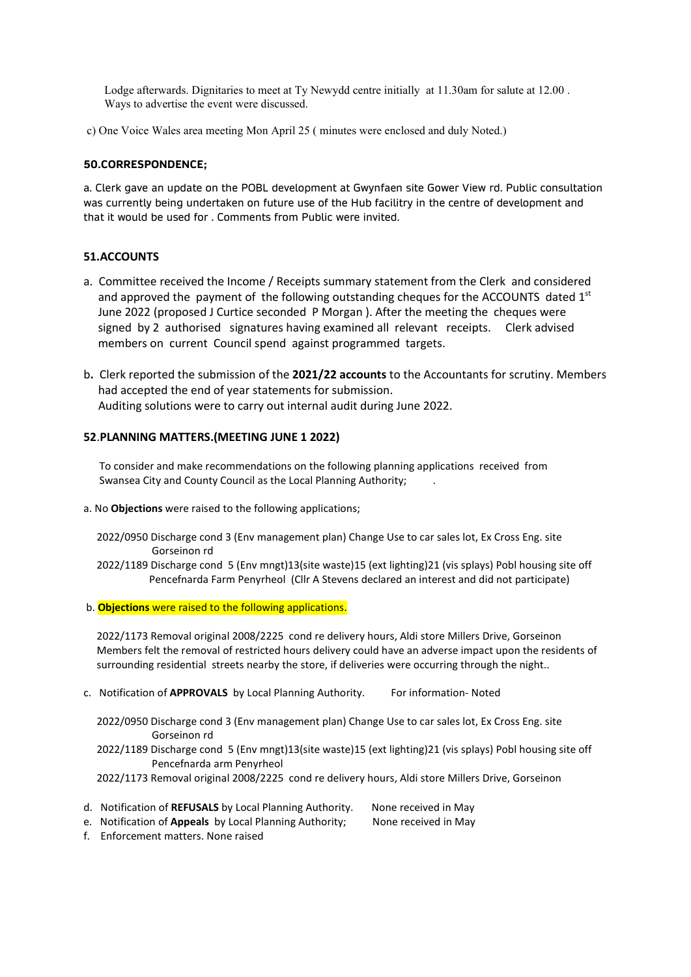Lodge afterwards. Dignitaries to meet at Ty Newydd centre initially at 11.30am for salute at 12.00 . Ways to advertise the event were discussed.

c) One Voice Wales area meeting Mon April 25 ( minutes were enclosed and duly Noted.)

#### 50.CORRESPONDENCE;

a. Clerk gave an update on the POBL development at Gwynfaen site Gower View rd. Public consultation was currently being undertaken on future use of the Hub facilitry in the centre of development and that it would be used for . Comments from Public were invited.

#### 51.ACCOUNTS

- a. Committee received the Income / Receipts summary statement from the Clerk and considered and approved the payment of the following outstanding cheques for the ACCOUNTS dated  $1<sup>st</sup>$  June 2022 (proposed J Curtice seconded P Morgan ). After the meeting the cheques were signed by 2 authorised signatures having examined all relevant receipts. Clerk advised members on current Council spend against programmed targets.
- b. Clerk reported the submission of the 2021/22 accounts to the Accountants for scrutiny. Members had accepted the end of year statements for submission. Auditing solutions were to carry out internal audit during June 2022.

#### 52.PLANNING MATTERS.(MEETING JUNE 1 2022)

 To consider and make recommendations on the following planning applications received from Swansea City and County Council as the Local Planning Authority; .

- a. No Objections were raised to the following applications;
	- 2022/0950 Discharge cond 3 (Env management plan) Change Use to car sales lot, Ex Cross Eng. site Gorseinon rd
	- 2022/1189 Discharge cond 5 (Env mngt)13(site waste)15 (ext lighting)21 (vis splays) Pobl housing site off Pencefnarda Farm Penyrheol (Cllr A Stevens declared an interest and did not participate)
- b. **Objections** were raised to the following applications.

 2022/1173 Removal original 2008/2225 cond re delivery hours, Aldi store Millers Drive, Gorseinon Members felt the removal of restricted hours delivery could have an adverse impact upon the residents of surrounding residential streets nearby the store, if deliveries were occurring through the night..

c. Notification of APPROVALS by Local Planning Authority. For information- Noted

 2022/0950 Discharge cond 3 (Env management plan) Change Use to car sales lot, Ex Cross Eng. site Gorseinon rd

- 2022/1189 Discharge cond 5 (Env mngt)13(site waste)15 (ext lighting)21 (vis splays) Pobl housing site off Pencefnarda arm Penyrheol
- 2022/1173 Removal original 2008/2225 cond re delivery hours, Aldi store Millers Drive, Gorseinon
- d. Notification of REFUSALS by Local Planning Authority. None received in May
- e. Notification of Appeals by Local Planning Authority; None received in May

f. Enforcement matters. None raised